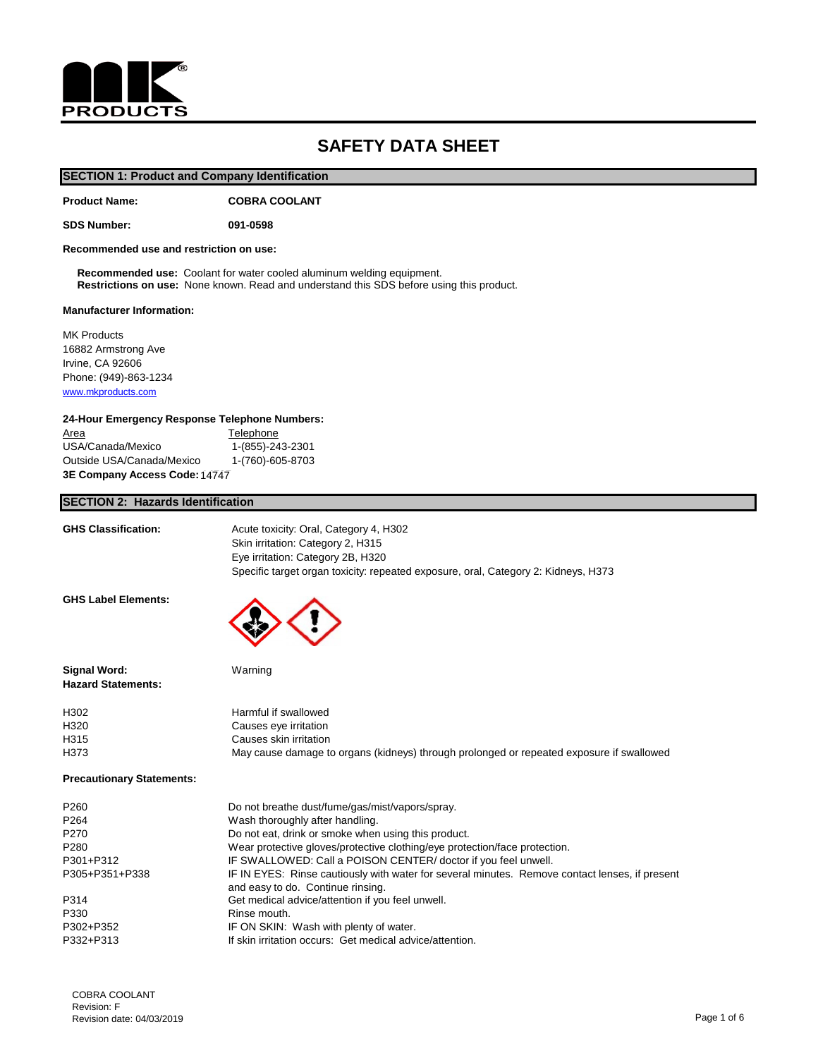

## **SAFETY DATA SHEET**

## **SECTION 1: Product and Company Identification**

**Product Name: COBRA COOLANT**

**SDS Number: 091-0598**

**Recommended use and restriction on use:**

 **Recommended use:** Coolant for water cooled aluminum welding equipment.  **Restrictions on use:** None known. Read and understand this SDS before using this product.

#### **Manufacturer Information:**

MK Products 16882 Armstrong Ave Irvine, CA 92606 Phone: (949)-863-1234 [www.mkproducts.com](http://www.mkproducts.com/)

#### **24-Hour Emergency Response Telephone Numbers:**

Area Telephone USA/Canada/Mexico 1-(855)-243-2301 Outside USA/Canada/Mexico 1-(760)-605-8703 **3E Company Access Code: 14727** 14747

#### **SECTION 2: Hazards Identification**

| <b>GHS Classification:</b>                       | Acute toxicity: Oral, Category 4, H302<br>Skin irritation: Category 2, H315<br>Eye irritation: Category 2B, H320<br>Specific target organ toxicity: repeated exposure, oral, Category 2: Kidneys, H373 |
|--------------------------------------------------|--------------------------------------------------------------------------------------------------------------------------------------------------------------------------------------------------------|
| <b>GHS Label Elements:</b>                       |                                                                                                                                                                                                        |
| <b>Signal Word:</b><br><b>Hazard Statements:</b> | Warning                                                                                                                                                                                                |
| H302                                             | Harmful if swallowed                                                                                                                                                                                   |
| H320                                             | Causes eye irritation                                                                                                                                                                                  |
| H315                                             | Causes skin irritation                                                                                                                                                                                 |
| H373                                             | May cause damage to organs (kidneys) through prolonged or repeated exposure if swallowed                                                                                                               |
| <b>Precautionary Statements:</b>                 |                                                                                                                                                                                                        |
| P260                                             | Do not breathe dust/fume/gas/mist/vapors/spray.                                                                                                                                                        |
| P264                                             | Wash thoroughly after handling.                                                                                                                                                                        |
| P270                                             | Do not eat, drink or smoke when using this product.                                                                                                                                                    |
| P280                                             | Wear protective gloves/protective clothing/eye protection/face protection.                                                                                                                             |
| P301+P312                                        | IF SWALLOWED: Call a POISON CENTER/ doctor if you feel unwell.                                                                                                                                         |
| P305+P351+P338                                   | IF IN EYES: Rinse cautiously with water for several minutes. Remove contact lenses, if present<br>and easy to do. Continue rinsing.                                                                    |
| P314                                             | Get medical advice/attention if you feel unwell.                                                                                                                                                       |
| P330                                             | Rinse mouth.                                                                                                                                                                                           |
| P302+P352                                        | IF ON SKIN: Wash with plenty of water.                                                                                                                                                                 |
| P332+P313                                        | If skin irritation occurs: Get medical advice/attention.                                                                                                                                               |
|                                                  |                                                                                                                                                                                                        |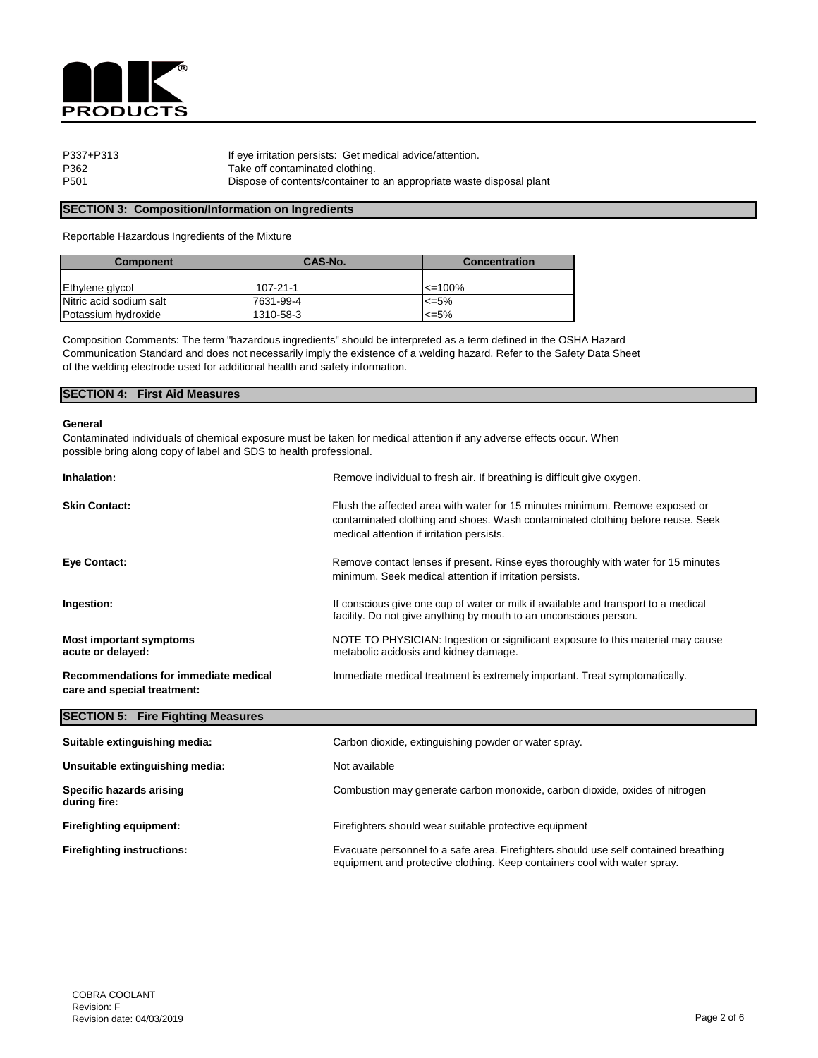

| P337+P313 | If eye irritation persists: Get medical advice/attention.            |
|-----------|----------------------------------------------------------------------|
| P362      | Take off contaminated clothing.                                      |
| P501      | Dispose of contents/container to an appropriate waste disposal plant |

#### **SECTION 3: Composition/Information on Ingredients**

Reportable Hazardous Ingredients of the Mixture

| <b>Component</b>        | CAS-No.        | <b>Concentration</b> |
|-------------------------|----------------|----------------------|
|                         |                |                      |
| Ethylene glycol         | $107 - 21 - 1$ | $\leq 100\%$         |
| Nitric acid sodium salt | 7631-99-4      | $\leq 5\%$           |
| Potassium hydroxide     | 1310-58-3      | <=5%                 |

Composition Comments: The term "hazardous ingredients" should be interpreted as a term defined in the OSHA Hazard Communication Standard and does not necessarily imply the existence of a welding hazard. Refer to the Safety Data Sheet of the welding electrode used for additional health and safety information.

#### **SECTION 4: First Aid Measures**

#### **General**

Contaminated individuals of chemical exposure must be taken for medical attention if any adverse effects occur. When possible bring along copy of label and SDS to health professional.

| Inhalation:                                                          | Remove individual to fresh air. If breathing is difficult give oxygen.                                                                                                                                      |
|----------------------------------------------------------------------|-------------------------------------------------------------------------------------------------------------------------------------------------------------------------------------------------------------|
| <b>Skin Contact:</b>                                                 | Flush the affected area with water for 15 minutes minimum. Remove exposed or<br>contaminated clothing and shoes. Wash contaminated clothing before reuse. Seek<br>medical attention if irritation persists. |
| <b>Eye Contact:</b>                                                  | Remove contact lenses if present. Rinse eyes thoroughly with water for 15 minutes<br>minimum. Seek medical attention if irritation persists.                                                                |
| Ingestion:                                                           | If conscious give one cup of water or milk if available and transport to a medical<br>facility. Do not give anything by mouth to an unconscious person.                                                     |
| <b>Most important symptoms</b><br>acute or delayed:                  | NOTE TO PHYSICIAN: Ingestion or significant exposure to this material may cause<br>metabolic acidosis and kidney damage.                                                                                    |
| Recommendations for immediate medical<br>care and special treatment: | Immediate medical treatment is extremely important. Treat symptomatically.                                                                                                                                  |
| <b>SECTION 5: Fire Fighting Measures</b>                             |                                                                                                                                                                                                             |
| Suitable extinguishing media:                                        | Carbon dioxide, extinguishing powder or water spray.                                                                                                                                                        |
| Unsuitable extinguishing media:                                      | Not available                                                                                                                                                                                               |
| <b>Specific hazards arising</b><br>during fire:                      | Combustion may generate carbon monoxide, carbon dioxide, oxides of nitrogen                                                                                                                                 |

**Firefighting equipment:** Firefighters should wear suitable protective equipment

**Firefighting instructions:** Evacuate personnel to a safe area. Firefighters should use self contained breathing equipment and protective clothing. Keep containers cool with water spray.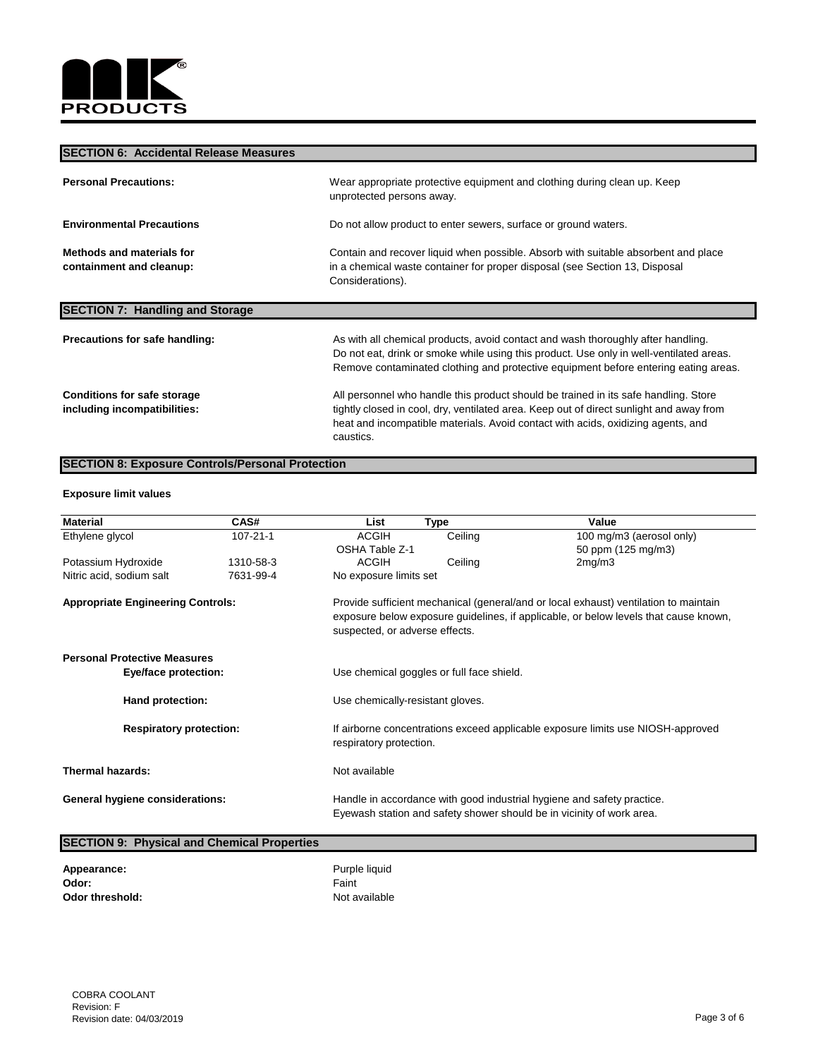

## **SECTION 6: Accidental Release Measures**

| <b>Personal Precautions:</b>                                       | Wear appropriate protective equipment and clothing during clean up. Keep<br>unprotected persons away.                                                                                                                                                                           |
|--------------------------------------------------------------------|---------------------------------------------------------------------------------------------------------------------------------------------------------------------------------------------------------------------------------------------------------------------------------|
| <b>Environmental Precautions</b>                                   | Do not allow product to enter sewers, surface or ground waters.                                                                                                                                                                                                                 |
| <b>Methods and materials for</b><br>containment and cleanup:       | Contain and recover liquid when possible. Absorb with suitable absorbent and place<br>in a chemical waste container for proper disposal (see Section 13, Disposal<br>Considerations).                                                                                           |
| <b>SECTION 7: Handling and Storage</b>                             |                                                                                                                                                                                                                                                                                 |
| <b>Precautions for safe handling:</b>                              | As with all chemical products, avoid contact and wash thoroughly after handling.<br>Do not eat, drink or smoke while using this product. Use only in well-ventilated areas.<br>Remove contaminated clothing and protective equipment before entering eating areas.              |
| <b>Conditions for safe storage</b><br>including incompatibilities: | All personnel who handle this product should be trained in its safe handling. Store<br>tightly closed in cool, dry, ventilated area. Keep out of direct sunlight and away from<br>heat and incompatible materials. Avoid contact with acids, oxidizing agents, and<br>caustics. |

## **SECTION 8: Exposure Controls/Personal Protection**

#### **Exposure limit values**

| <b>Material</b>                          | CAS#           | List                   | <b>Type</b>                                                                                                                                                                                                    | Value                                                                                                                                           |  |
|------------------------------------------|----------------|------------------------|----------------------------------------------------------------------------------------------------------------------------------------------------------------------------------------------------------------|-------------------------------------------------------------------------------------------------------------------------------------------------|--|
| Ethylene glycol                          | $107 - 21 - 1$ | <b>ACGIH</b>           | Ceiling                                                                                                                                                                                                        | 100 mg/m3 (aerosol only)                                                                                                                        |  |
|                                          |                | <b>OSHA Table Z-1</b>  |                                                                                                                                                                                                                | 50 ppm (125 mg/m3)                                                                                                                              |  |
| Potassium Hydroxide                      | 1310-58-3      | <b>ACGIH</b>           | Ceiling                                                                                                                                                                                                        | 2mg/m3                                                                                                                                          |  |
| Nitric acid, sodium salt                 | 7631-99-4      | No exposure limits set |                                                                                                                                                                                                                |                                                                                                                                                 |  |
| <b>Appropriate Engineering Controls:</b> |                |                        | Provide sufficient mechanical (general/and or local exhaust) ventilation to maintain<br>exposure below exposure guidelines, if applicable, or below levels that cause known,<br>suspected, or adverse effects. |                                                                                                                                                 |  |
| <b>Personal Protective Measures</b>      |                |                        |                                                                                                                                                                                                                |                                                                                                                                                 |  |
| <b>Eye/face protection:</b>              |                |                        | Use chemical goggles or full face shield.                                                                                                                                                                      |                                                                                                                                                 |  |
| <b>Hand protection:</b>                  |                |                        | Use chemically-resistant gloves.                                                                                                                                                                               |                                                                                                                                                 |  |
| <b>Respiratory protection:</b>           |                |                        | If airborne concentrations exceed applicable exposure limits use NIOSH-approved<br>respiratory protection.                                                                                                     |                                                                                                                                                 |  |
| <b>Thermal hazards:</b>                  |                | Not available          |                                                                                                                                                                                                                |                                                                                                                                                 |  |
| <b>General hygiene considerations:</b>   |                |                        |                                                                                                                                                                                                                | Handle in accordance with good industrial hygiene and safety practice.<br>Eyewash station and safety shower should be in vicinity of work area. |  |

| <b>SECTION 9: Physical and Chemical Properties</b> |               |  |
|----------------------------------------------------|---------------|--|
| <b>Appearance:</b>                                 | Purple liquid |  |
| Odor:                                              | Faint         |  |
| <b>Odor threshold:</b>                             | Not available |  |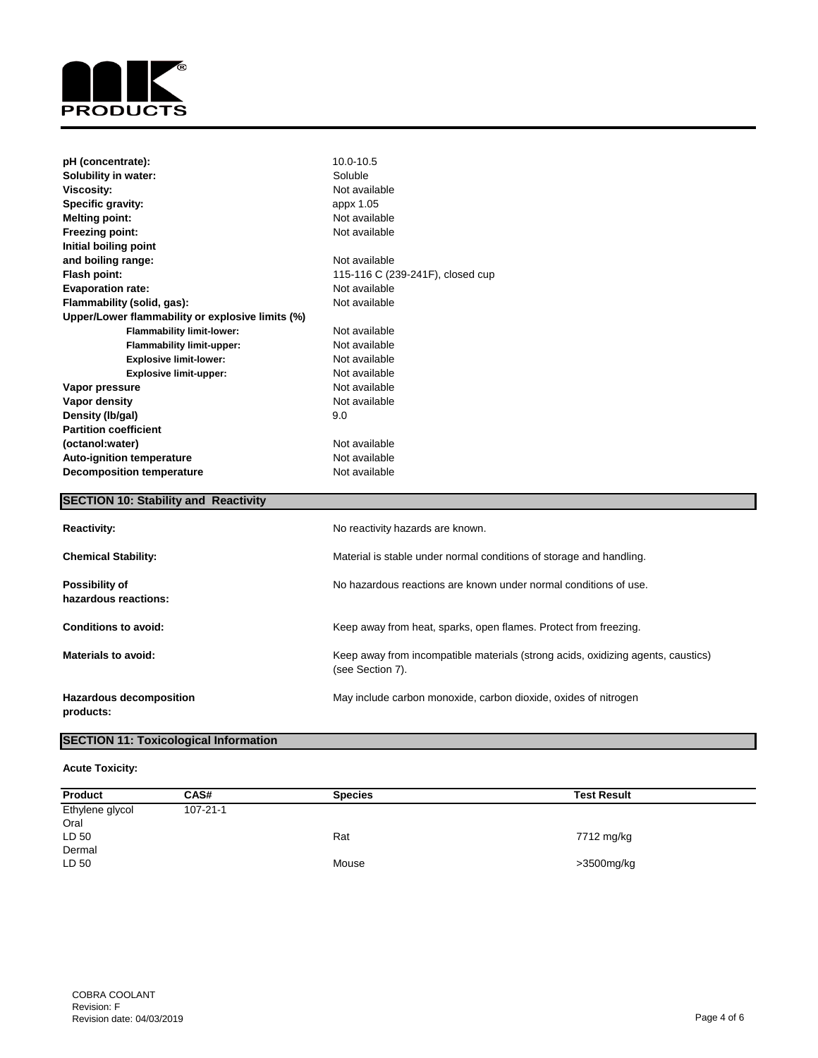

| pH (concentrate):                                | 10.0-10.5                        |
|--------------------------------------------------|----------------------------------|
| <b>Solubility in water:</b>                      | Soluble                          |
| <b>Viscosity:</b>                                | Not available                    |
| Specific gravity:                                | appx 1.05                        |
| <b>Melting point:</b>                            | Not available                    |
| <b>Freezing point:</b>                           | Not available                    |
| Initial boiling point                            |                                  |
| and boiling range:                               | Not available                    |
| <b>Flash point:</b>                              | 115-116 C (239-241F), closed cup |
| <b>Evaporation rate:</b>                         | Not available                    |
| Flammability (solid, gas):                       | Not available                    |
| Upper/Lower flammability or explosive limits (%) |                                  |
| <b>Flammability limit-lower:</b>                 | Not available                    |
| <b>Flammability limit-upper:</b>                 | Not available                    |
| <b>Explosive limit-lower:</b>                    | Not available                    |
| <b>Explosive limit-upper:</b>                    | Not available                    |
| Vapor pressure                                   | Not available                    |
| <b>Vapor density</b>                             | Not available                    |
| Density (Ib/gal)                                 | 9.0                              |
| <b>Partition coefficient</b>                     |                                  |
| (octanol:water)                                  | Not available                    |
| <b>Auto-ignition temperature</b>                 | Not available                    |
| <b>Decomposition temperature</b>                 | Not available                    |

## **SECTION 10: Stability and Reactivity**

| <b>Reactivity:</b>                            | No reactivity hazards are known.                                                                     |
|-----------------------------------------------|------------------------------------------------------------------------------------------------------|
| <b>Chemical Stability:</b>                    | Material is stable under normal conditions of storage and handling.                                  |
| <b>Possibility of</b><br>hazardous reactions: | No hazardous reactions are known under normal conditions of use.                                     |
| <b>Conditions to avoid:</b>                   | Keep away from heat, sparks, open flames. Protect from freezing.                                     |
| <b>Materials to avoid:</b>                    | Keep away from incompatible materials (strong acids, oxidizing agents, caustics)<br>(see Section 7). |
| <b>Hazardous decomposition</b><br>products:   | May include carbon monoxide, carbon dioxide, oxides of nitrogen                                      |

## **SECTION 11: Toxicological Information**

#### **Acute Toxicity:**

| <b>Product</b>  | CAS#           | <b>Species</b> | <b>Test Result</b> |
|-----------------|----------------|----------------|--------------------|
| Ethylene glycol | $107 - 21 - 1$ |                |                    |
| Oral            |                |                |                    |
| LD 50           |                | Rat            | 7712 mg/kg         |
| Dermal          |                |                |                    |
| LD 50           |                | Mouse          | >3500mg/kg         |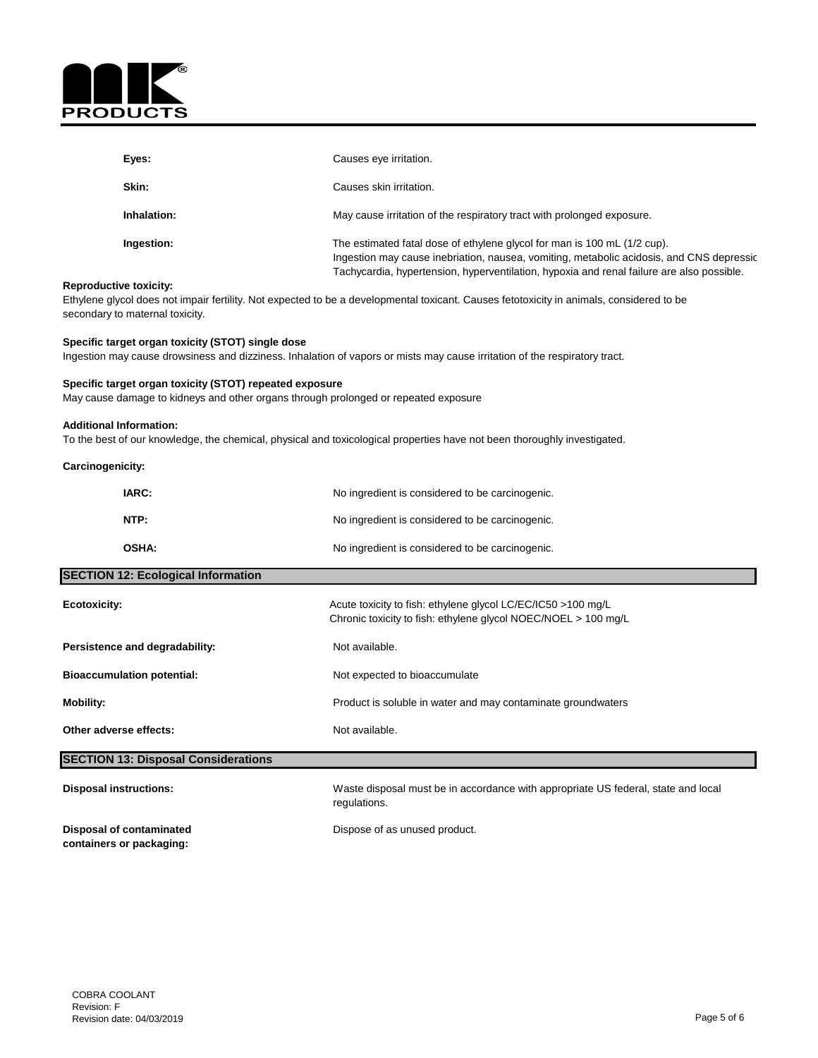

| Eyes:       | Causes eye irritation.                                                                                                                                                                                                                                            |
|-------------|-------------------------------------------------------------------------------------------------------------------------------------------------------------------------------------------------------------------------------------------------------------------|
| Skin:       | Causes skin irritation.                                                                                                                                                                                                                                           |
| Inhalation: | May cause irritation of the respiratory tract with prolonged exposure.                                                                                                                                                                                            |
| Ingestion:  | The estimated fatal dose of ethylene glycol for man is 100 mL (1/2 cup).<br>Ingestion may cause inebriation, nausea, vomiting, metabolic acidosis, and CNS depressic<br>Tachycardia, hypertension, hyperventilation, hypoxia and renal failure are also possible. |

#### **Reproductive toxicity:**

Ethylene glycol does not impair fertility. Not expected to be a developmental toxicant. Causes fetotoxicity in animals, considered to be secondary to maternal toxicity.

## **Specific target organ toxicity (STOT) single dose**

Ingestion may cause drowsiness and dizziness. Inhalation of vapors or mists may cause irritation of the respiratory tract.

#### **Specific target organ toxicity (STOT) repeated exposure**

May cause damage to kidneys and other organs through prolonged or repeated exposure

#### **Additional Information:**

To the best of our knowledge, the chemical, physical and toxicological properties have not been thoroughly investigated.

| IARC:                                      | No ingredient is considered to be carcinogenic.                                                                                |
|--------------------------------------------|--------------------------------------------------------------------------------------------------------------------------------|
| NTP:                                       | No ingredient is considered to be carcinogenic.                                                                                |
| <b>OSHA:</b>                               | No ingredient is considered to be carcinogenic.                                                                                |
| <b>SECTION 12: Ecological Information</b>  |                                                                                                                                |
| <b>Ecotoxicity:</b>                        | Acute toxicity to fish: ethylene glycol LC/EC/IC50 >100 mg/L<br>Chronic toxicity to fish: ethylene glycol NOEC/NOEL > 100 mg/L |
| Persistence and degradability:             | Not available.                                                                                                                 |
| <b>Bioaccumulation potential:</b>          | Not expected to bioaccumulate                                                                                                  |
| <b>Mobility:</b>                           | Product is soluble in water and may contaminate groundwaters                                                                   |
| Other adverse effects:                     | Not available.                                                                                                                 |
| <b>SECTION 13: Disposal Considerations</b> |                                                                                                                                |
| <b>Disposal instructions:</b>              | Waste disposal must be in accordance with appropriate US federal, state and local<br>regulations.                              |

**containers or packaging:**

**Disposal of contaminated Dispose of as unused product.**